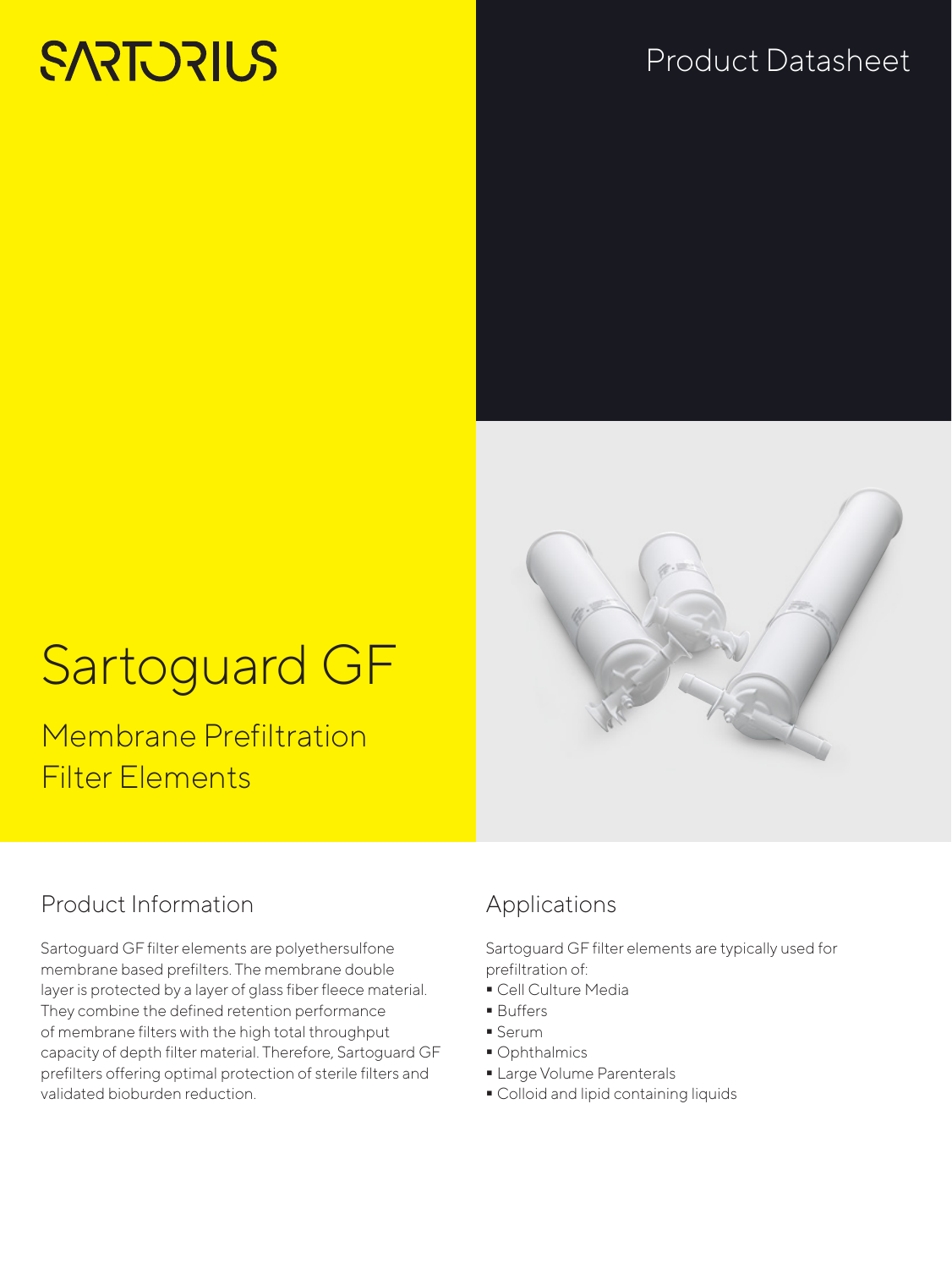# **SARTORIUS**

## Product Datasheet

# Sartoguard GF

Membrane Prefiltration Filter Elements

## Product Information

Sartoguard GF filter elements are polyethersulfone membrane based prefilters. The membrane double layer is protected by a layer of glass fiber fleece material. They combine the defined retention performance of membrane filters with the high total throughput capacity of depth filter material. Therefore, Sartoguard GF prefilters offering optimal protection of sterile filters and validated bioburden reduction.

## Applications

Sartoguard GF filter elements are typically used for prefiltration of:

- Cell Culture Media
- **Buffers**
- Serum
	- Ophthalmics
	- **Large Volume Parenterals**
	- **Colloid and lipid containing liquids**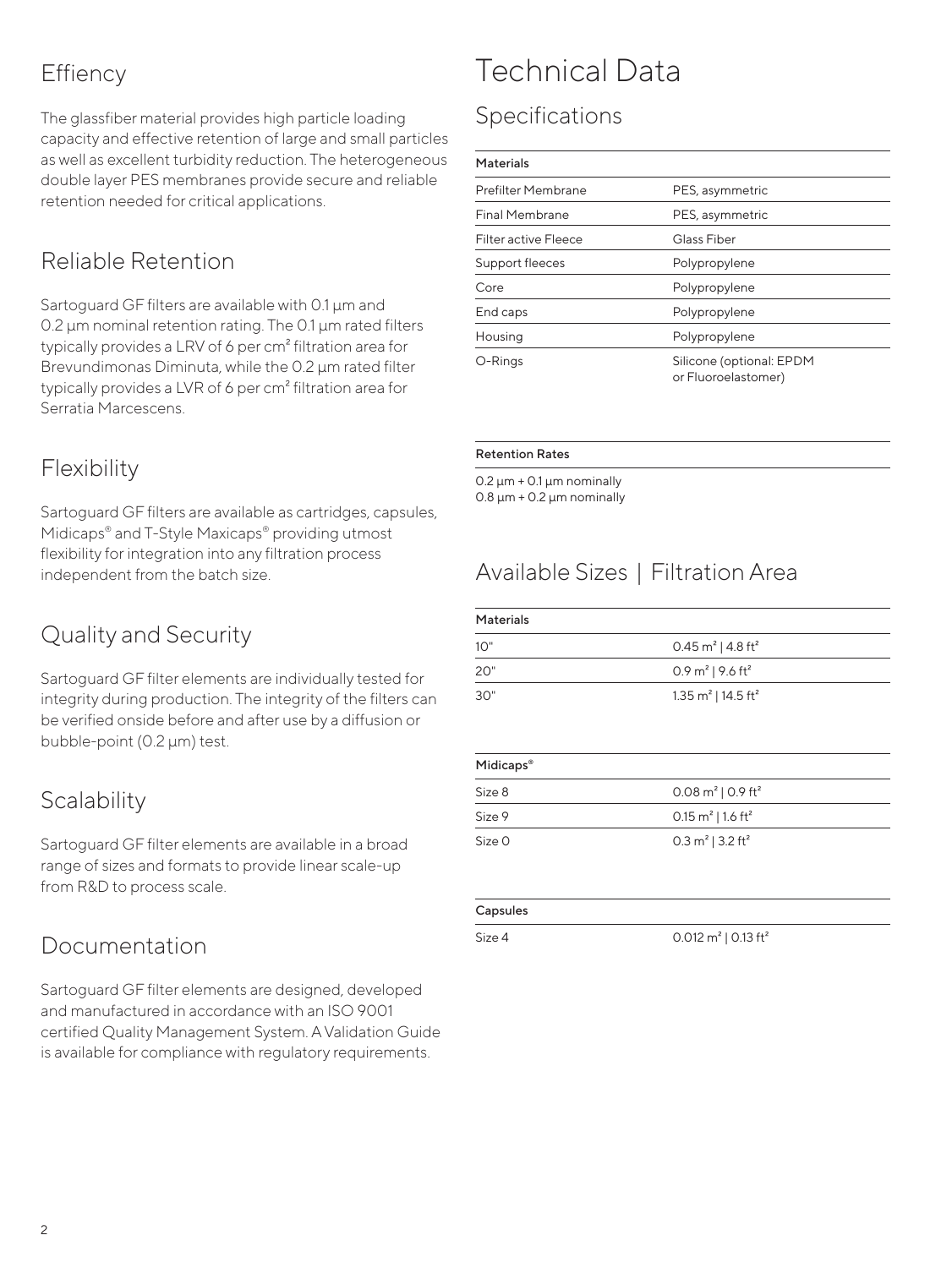## **Effiency**

The glassfiber material provides high particle loading capacity and effective retention of large and small particles as well as excellent turbidity reduction. The heterogeneous double layer PES membranes provide secure and reliable retention needed for critical applications.

## Reliable Retention

Sartoguard GF filters are available with 0.1 µm and 0.2 µm nominal retention rating. The 0.1 µm rated filters typically provides a LRV of 6 per cm² filtration area for Brevundimonas Diminuta, while the 0.2 um rated filter typically provides a LVR of 6 per cm<sup>2</sup> filtration area for Serratia Marcescens.

## Flexibility

Sartoguard GF filters are available as cartridges, capsules, Midicaps® and T-Style Maxicaps® providing utmost flexibility for integration into any filtration process independent from the batch size.

## Quality and Security

Sartoguard GF filter elements are individually tested for integrity during production. The integrity of the filters can be verified onside before and after use by a diffusion or bubble-point (0.2 µm) test.

## **Scalability**

Sartoguard GF filter elements are available in a broad range of sizes and formats to provide linear scale-up from R&D to process scale.

## Documentation

Sartoguard GF filter elements are designed, developed and manufactured in accordance with an ISO 9001 certified Quality Management System. A Validation Guide is available for compliance with regulatory requirements.

## Technical Data

## Specifications

#### **Materials**

| Prefilter Membrane          | PES, asymmetric                                 |
|-----------------------------|-------------------------------------------------|
| <b>Final Membrane</b>       | PES, asymmetric                                 |
| <b>Filter active Fleece</b> | Glass Fiber                                     |
| Support fleeces             | Polypropylene                                   |
| Core                        | Polypropylene                                   |
| End caps                    | Polypropylene                                   |
| Housing                     | Polypropylene                                   |
| O-Rings                     | Silicone (optional: EPDM<br>or Fluoroelastomer) |
|                             |                                                 |

#### Retention Rates

 $0.2 \text{ µm} + 0.1 \text{ µm}$  nominally  $0.8 \mu m + 0.2 \mu m$  nominally

## Available Sizes | Filtration Area

| <b>Materials</b> |                                            |  |
|------------------|--------------------------------------------|--|
| 10"              | 0.45 m <sup>2</sup>   4.8 ft <sup>2</sup>  |  |
| 20"              | 0.9 $m^2$   9.6 ft <sup>2</sup>            |  |
| 30"              | 1.35 m <sup>2</sup>   14.5 ft <sup>2</sup> |  |

| Midicaps <sup>®</sup> |                                          |  |
|-----------------------|------------------------------------------|--|
| Size 8                | $0.08 \text{ m}^2$   0.9 ft <sup>2</sup> |  |
| Size 9                | 0.15 $m^2$   1.6 ft <sup>2</sup>         |  |
| Size O                | 0.3 $m^2$   3.2 ft <sup>2</sup>          |  |

#### Capsules

Size 4 0.012 m<sup>2</sup> | 0.13 ft<sup>2</sup>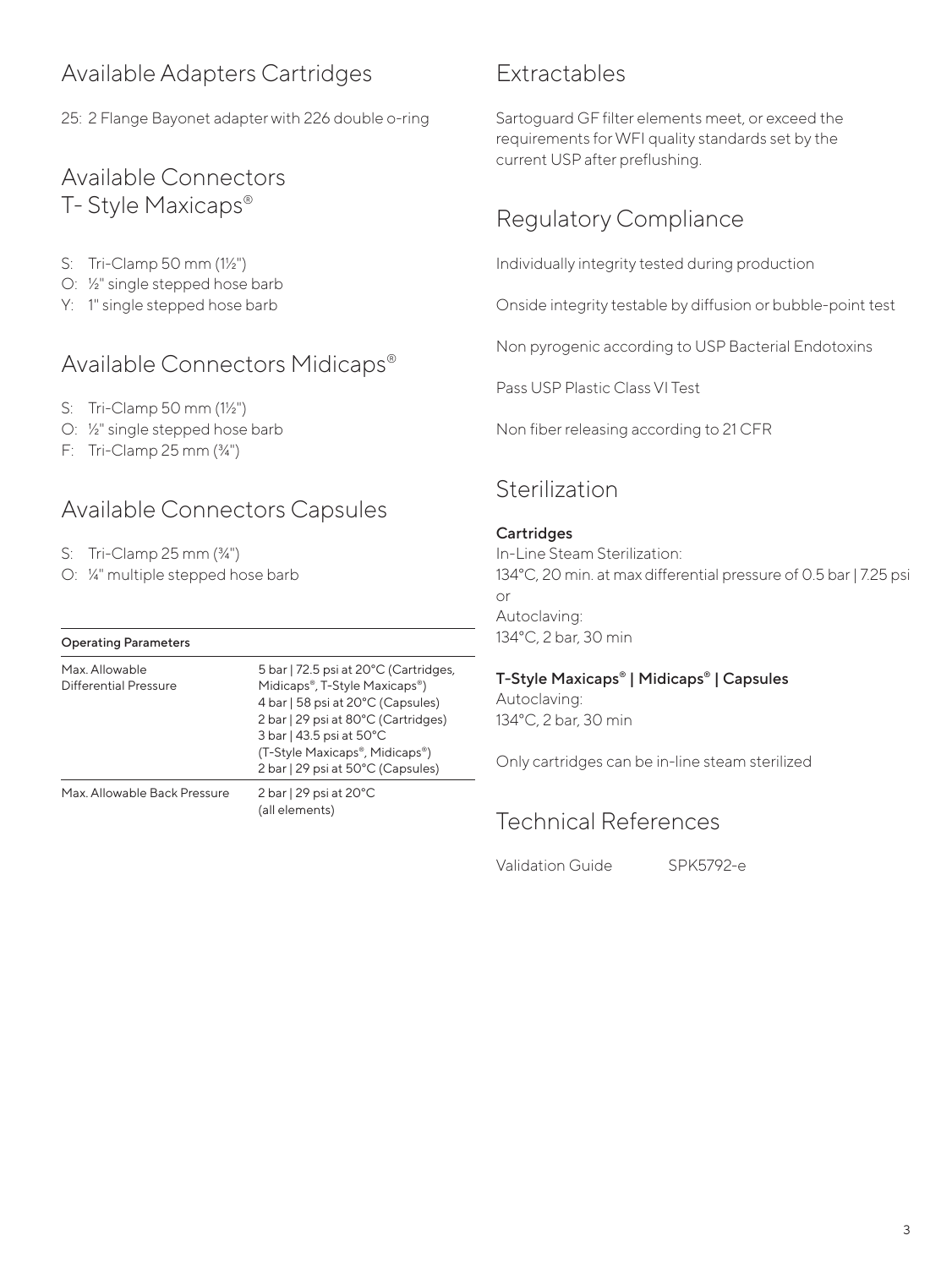## Available Adapters Cartridges

25: 2 Flange Bayonet adapter with 226 double o-ring

### Available Connectors T- Style Maxicaps®

- S: Tri-Clamp 50 mm (1½")
- O: ½" single stepped hose barb
- Y: 1" single stepped hose barb

## Available Connectors Midicaps®

- S: Tri-Clamp 50 mm (1½")
- O: ½" single stepped hose barb
- F: Tri-Clamp 25 mm (¾")

## Available Connectors Capsules

- S: Tri-Clamp 25 mm (¾")
- O: ¼" multiple stepped hose barb

| <b>Operating Parameters</b>             |                                                                                                                                                                                                                                                       |
|-----------------------------------------|-------------------------------------------------------------------------------------------------------------------------------------------------------------------------------------------------------------------------------------------------------|
| Max. Allowable<br>Differential Pressure | 5 bar   72.5 psi at 20°C (Cartridges,<br>Midicaps®, T-Style Maxicaps®)<br>4 bar   58 psi at 20°C (Capsules)<br>2 bar   29 psi at 80°C (Cartridges)<br>3 bar   43.5 psi at 50°C<br>(T-Style Maxicaps®, Midicaps®)<br>2 bar   29 psi at 50°C (Capsules) |
| Max. Allowable Back Pressure            | $2 \text{ bar}$   29 psi at 20 $^{\circ}$ C<br>(all elements)                                                                                                                                                                                         |

## Extractables

Sartoguard GF filter elements meet, or exceed the requirements for WFI quality standards set by the current USP after preflushing.

## Regulatory Compliance

Individually integrity tested during production

Onside integrity testable by diffusion or bubble-point test

Non pyrogenic according to USP Bacterial Endotoxins

Pass USP Plastic Class VI Test

Non fiber releasing according to 21 CFR

## Sterilization

#### **Cartridges**

In-Line Steam Sterilization: 134°C, 20 min. at max differential pressure of 0.5 bar | 7.25 psi or Autoclaving: 134°C, 2 bar, 30 min

#### T-Style Maxicaps® | Midicaps® | Capsules

Autoclaving: 134°C, 2 bar, 30 min

Only cartridges can be in-line steam sterilized

### Technical References

Validation Guide SPK5792-e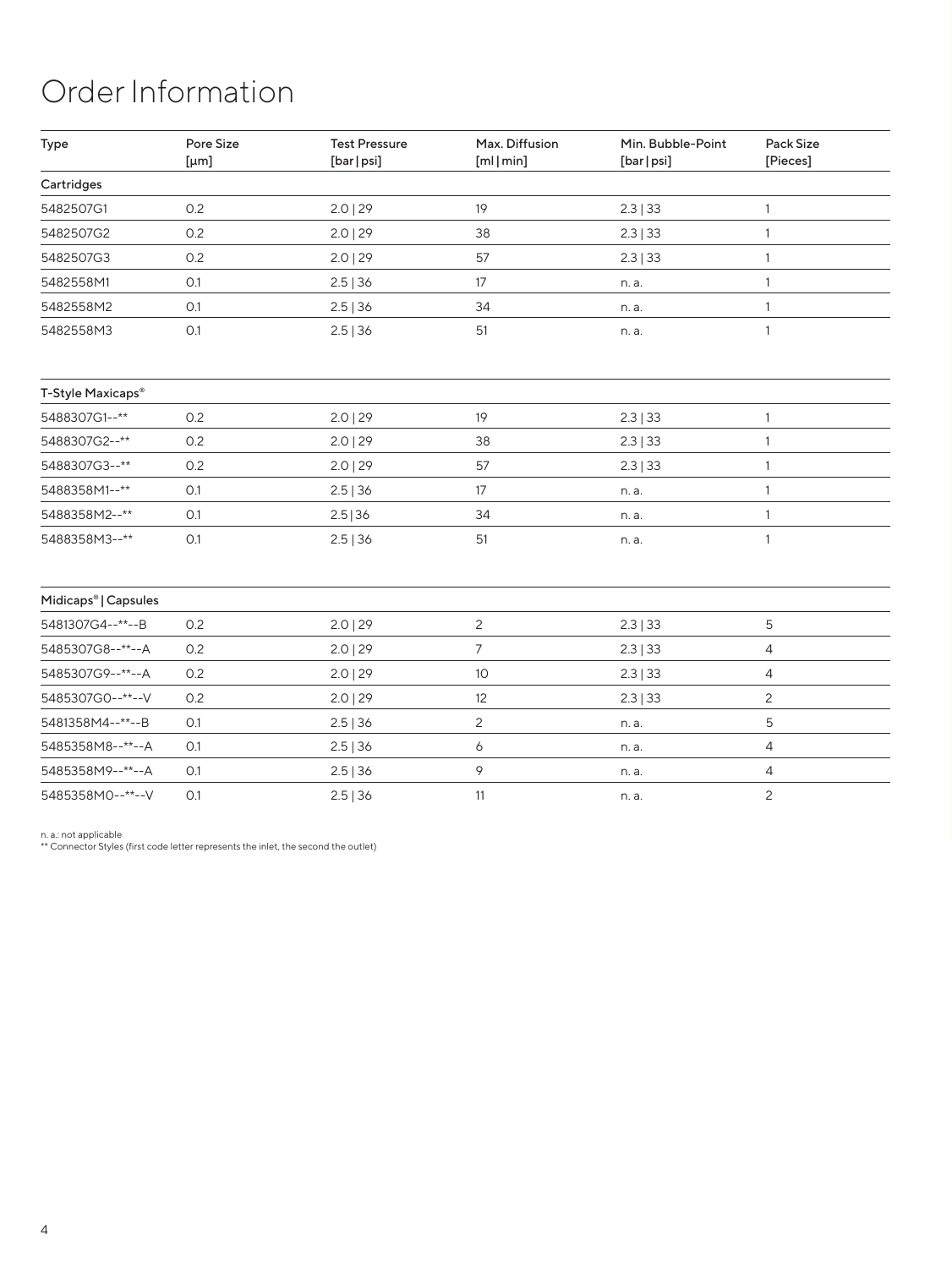# Order Information

| Type                             | Pore Size<br>[µm] | <b>Test Pressure</b><br>[bar   psi] | Max. Diffusion<br>[m] [min] | Min. Bubble-Point<br>[bar   psi] | Pack Size<br>[Pieces] |
|----------------------------------|-------------------|-------------------------------------|-----------------------------|----------------------------------|-----------------------|
| Cartridges                       |                   |                                     |                             |                                  |                       |
| 5482507G1                        | 0.2               | $2.0$   29                          | 19                          | 2.3   33                         | $\mathbf{1}$          |
| 5482507G2                        | 0.2               | $2.0$   29                          | 38                          | 2.3   33                         | $\mathbf{1}$          |
| 5482507G3                        | 0.2               | $2.0$   29                          | 57                          | 2.3   33                         | $\mathbf{1}$          |
| 5482558M1                        | O.1               | 2.5   36                            | 17                          | n. a.                            | $\mathbf{1}$          |
| 5482558M2                        | O.1               | 2.5   36                            | 34                          | n. a.                            | 1                     |
| 5482558M3                        | O.1               | 2.5   36                            | 51                          | n. a.                            | 1                     |
| T-Style Maxicaps®                |                   |                                     |                             |                                  |                       |
| 5488307G1--**                    | 0.2               | 2.0   29                            | 19                          | 2.3   33                         | $\mathbf{1}$          |
| 5488307G2--**                    | 0.2               | $2.0$   29                          | 38                          | 2.3   33                         | $\mathbf{1}$          |
| 5488307G3--**                    | 0.2               | $2.0$   29                          | 57                          | 2.3   33                         | $\mathbf{1}$          |
| 5488358M1--**                    | O.1               | 2.5   36                            | 17                          | n. a.                            | $\mathbf{1}$          |
| 5488358M2--**                    | O.1               | 2.5 36                              | 34                          | n. a.                            | $\mathbf{1}$          |
| 5488358M3--**                    | 0.1               | $2.5$   36                          | 51                          | n. a.                            | 1                     |
| Midicaps <sup>®</sup>   Capsules |                   |                                     |                             |                                  |                       |
| 5481307G4--**--B                 | 0.2               | 2.0   29                            | $\mathbf{2}$                | 2.3   33                         | 5                     |
| 5485307G8--**--A                 | 0.2               | $2.0$   29                          | 7                           | 2.3   33                         | 4                     |
| 5485307G9--**--A                 | 0.2               | $2.0$   29                          | 10                          | 2.3   33                         | 4                     |
| 5485307G0--**--V                 | 0.2               | 2.0   29                            | 12                          | 2.3   33                         | $\mathbf{2}$          |
| 5481358M4--**--B                 | O.1               | 2.5   36                            | $\mathbf{2}$                | n. a.                            | 5                     |
| 5485358M8--**--A                 | 0.1               | 2.5   36                            | 6                           | n. a.                            | 4                     |
| 5485358M9--**--A                 | 0.1               | 2.5   36                            | 9                           | n. a.                            | 4                     |
| 5485358M0--**--V                 | O.1               | 2.5   36                            | 11                          | n. a.                            | $\mathbf{2}$          |

n. a.: not applicable \*\* Connector Styles (first code letter represents the inlet, the second the outlet)